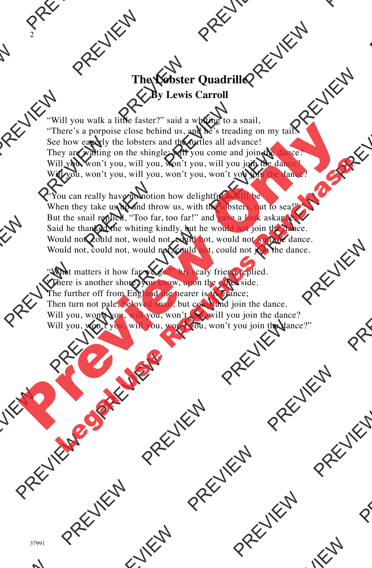## **The Lobster Quadrille By Lewis Carroll**

"Will you walk a little faster?" said a whiting to a snail, "There's a porpoise close behind us, and he's treading on my tail. See how eagerly the lobsters and the turtles all advance! They are waiting on the shingle; will you come and join the dance? Will you, won't you, will you, won't you, will you join the dance **The Lobster Quadrille By Lewis Carroll By Lewis Carroll**<br> **By Lewis Carroll**<br> **PREVIEW PREVIEW PREVIEW PREVIEW PREVIEW PREVIEW PREVIEW PREVIEW PREVIEW PREVIEW PREVIEW PREVIEW PREVIEW PREVIEW PREVIEW PREVIEW PREVIEW PREVI** 

Will you, won't you, will you, won't you, won't you join the dance? "You can really have no notion how delightful it will be When they take us up and throw us, with the lobsters, out to seal' But the snail replied, "Too far, too far!" and gave a look askance; Said he thanked the whiting kindly, but he would not join the dance. Would not, could not, would not, could not, would not join the dance. Would not, could not, would not, could not, could not join the dance. In won't you, will you, won't you, won't you is with the base and the window us, with the base and the white wonder of Free presents to the defined the window we will have a properties to the word and the window of the wor The transmit will you, won't you, will you, won't you is a lil you, won't you, will you, won't you, will you, won't you is a limit point of the same that the same the plat of the same three them they take us up and throw u

"What matters it how far we go?" his scaly friend replied. "There is another shore, you know, upon the other side. The further off from England the nearer is to France; Then turn not pale, beloved snail, but come and join the dance. Will you, won't you, will you, won't you, will you join the dance? Will you, won't you, will you, won't you, won't you join the dance?" **PREVIEW THE CONSTRANT CONSTRANT CONSTRANT CONSTRANT CONSTRANT CONSTRANT CONSTRANT CONSTRANT CONSTRANT CONSTRANT CONSTRANT CONSTRANT CONSTRANT CONSTRANT CONSTRANT CONSTRANT CONSTRANT CONSTRANT CONSTRANT CONSTRANT CONSTRAN** The Lobster Quadrille<br>
By Lewis Carroll<br>
"Will you walk a little faster?" said a whiting to a small,<br>
"There's a propose close being only the loss real of the first real of the<br>
They are wainting on the shine of the street The Lobster Quadrille By Lewis Carroll<br>
There's a popole close behind on and its interaction<br>
There's a popole close behind on and its interaction and the stress<br>and a where we are the true of the stress and the true of t The Lobbster Quadrille<br>
By Lewis Carrell<br>
The Lobbster Marillon and the medical<br>
Theor's approximate class can be a medical advanced<br>
They are soming on the shape will you come and the medical<br>
They are soming to the simul The Lobster Quadrille by Lewis Carroll<br>
"Will you walk a interest practice is a specifical control of a small<br>
"The Lobster San property is a specifical control of the state of the specifical control with<br>
Will you want ty The Condition of the Condition of the Condition of the Condition of the Condition of the Condition of the Condition of the Condition of the Condition of the Condition of the Condition of the Condition of the Condition of t There's a popoles concerned that and the simple of the simple of the simple of the simple of the simple of the simple of the simple of the simple of the simple of the simple of the simple of the simple of the simple of the a, "loo tar, too tar;" and wave also take a lot would not could not could not could not could not could not be dance.<br>
ot, would not, could not, could not job. the dance.<br>
ot, would not, could not, could not job. the danc Proposed the side.<br>
Now, upon the side of the side.<br>
The contribution of the side of the panel is the preview preview preview preview preview preview preview preview preview preview preview preview preview preview preview There's a popoles close behind us, and he's treating on my tail.<br>
There's a popoles close behind us, and the 'streading on my tail.<br>
See how eagerly the lobaters and the turntes all advance!<br>
They are waiting on the shingl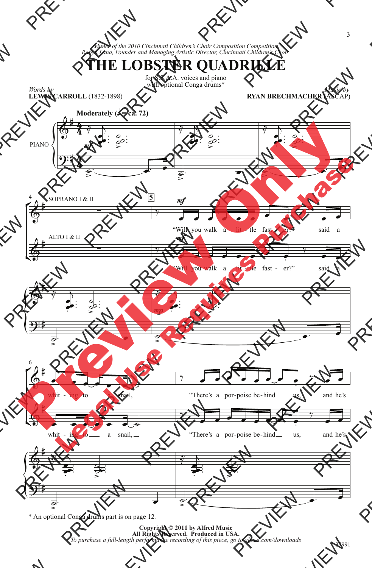*winner of the 2010 Cincinnati Children's Choir Composition Competition Robyn Lana, Founder and Managing Artistic Director, Cincinnati Children's Choir*

## **THE LOBSTER QUADRILLE**

*Words by* **LEWIS CARROLL** (1832-1898) for S.S.A.A. voices and piano with optional Conga drums\*

*Music by* **RYAN BRECHMACHER** (ASCAP)



\* An optional Conga drums part is on page 12*.*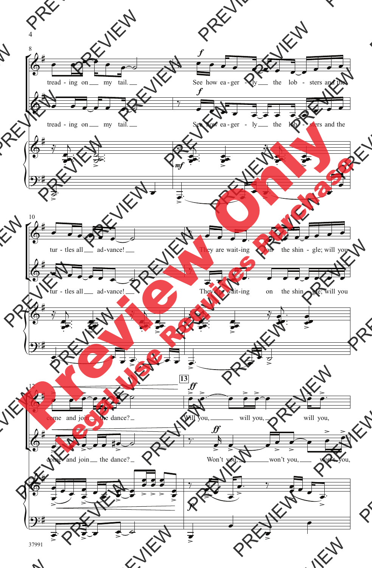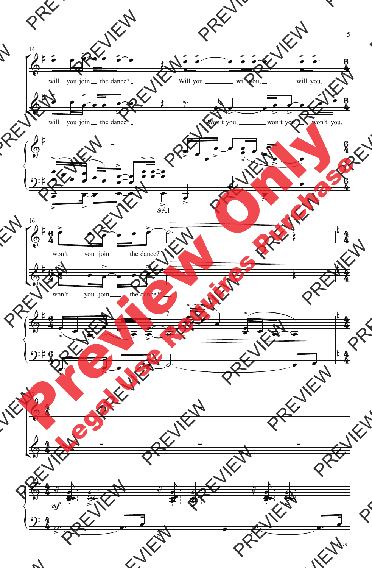

37991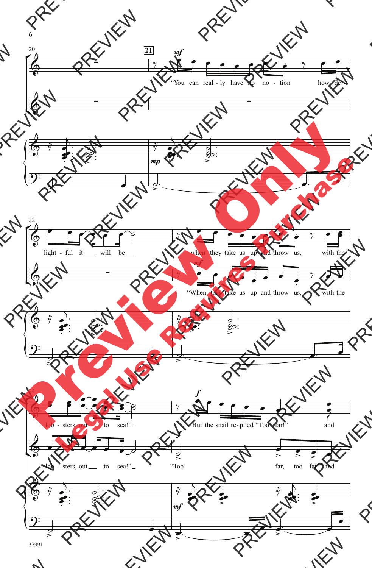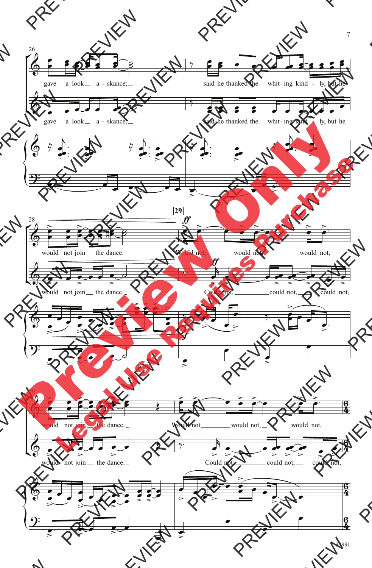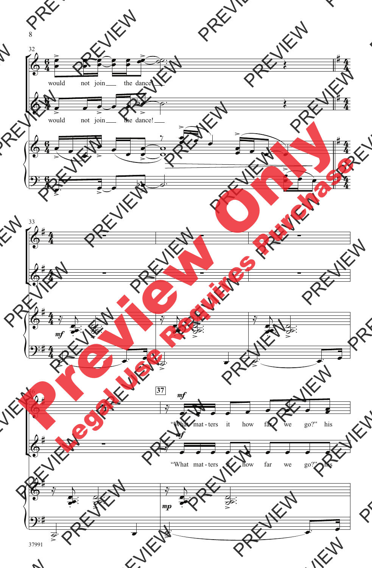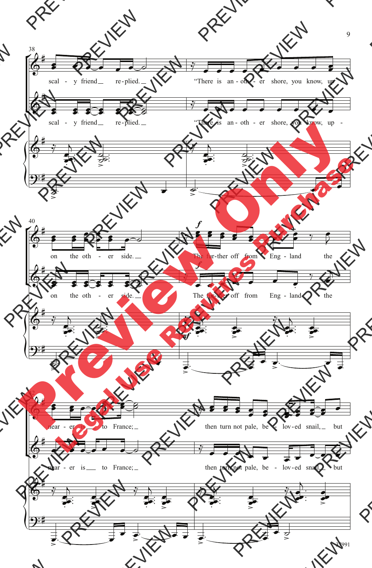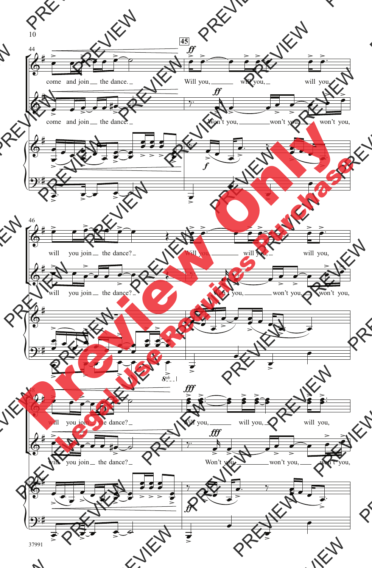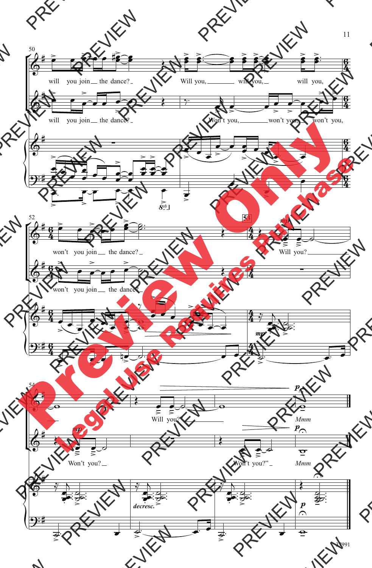

37991